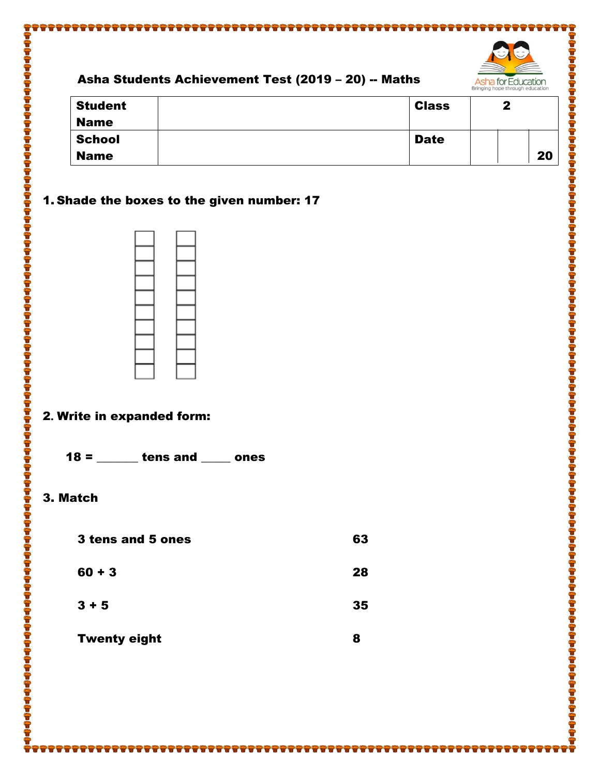

# Asha Students Achievement Test (2019 – 20) -- Maths

2020202020

| <b>Student</b> | <b>Class</b> | 9 |    |
|----------------|--------------|---|----|
| <b>Name</b>    |              |   |    |
| <b>School</b>  | <b>Date</b>  |   |    |
| <b>Name</b>    |              |   | 20 |

#### 1. Shade the boxes to the given number: 17



# 2**.** Write in expanded form:

18 = \_\_\_\_\_\_\_ tens and \_\_\_\_\_ ones

## 3. Match

adadadadadadadadadadadadadadadadadada

| <b>3 tens and 5 ones</b> | 63 |
|--------------------------|----|
| $60 + 3$                 | 28 |
| $3 + 5$                  | 35 |
| Twenty eight             | 8  |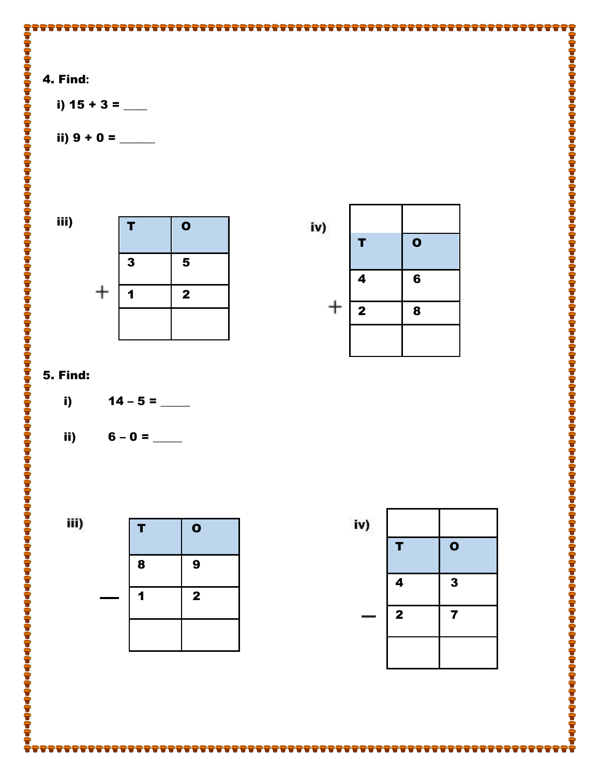# 4. Find**:**

i)  $15 + 3 =$  \_\_\_\_\_\_\_

ii) 9 + 0 = \_\_\_\_\_\_

iii)



| iv) |                         |                 |
|-----|-------------------------|-----------------|
|     | T                       | $\bullet$       |
|     | 4                       | $6\phantom{1}6$ |
| ╈   | $\overline{\mathbf{2}}$ | 8               |
|     |                         |                 |

### 5. Find:

266

i)  $14 - 5 =$  \_\_\_\_\_\_\_\_

ii) 6 – 0 = \_\_\_\_\_

iii) T O 8 9 1 2

| iv) |             |              |
|-----|-------------|--------------|
|     | T           | $\mathbf 0$  |
|     | 4           | $\mathbf{3}$ |
|     | $\mathbf 2$ | 7            |
|     |             |              |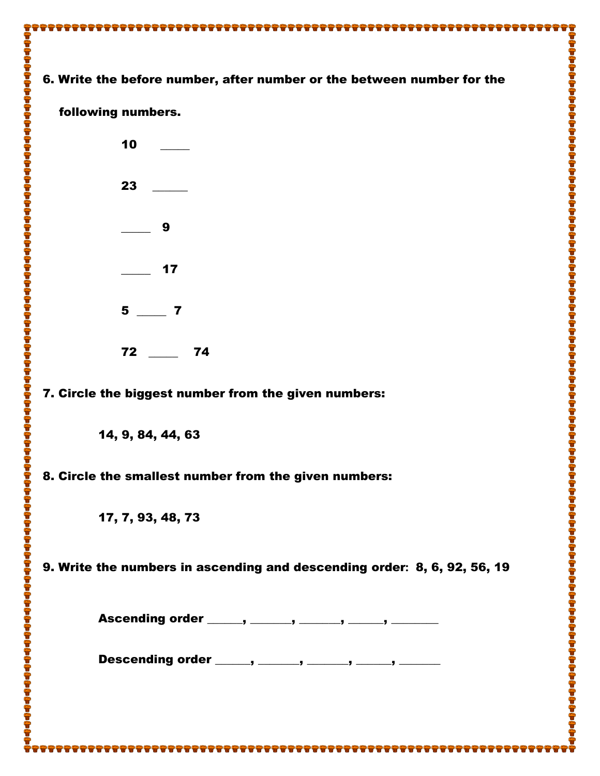### 6. Write the before number, after number or the between number for the

**...........** 

#### following numbers.



7. Circle the biggest number from the given numbers:

14, 9, 84, 44, 63

8. Circle the smallest number from the given numbers:

17, 7, 93, 48, 73

9. Write the numbers in ascending and descending order**:** 8, 6, 92, 56, 19

Ascending order \_\_\_\_\_, \_\_\_\_\_, \_\_\_\_\_, \_\_\_\_\_, \_\_\_\_\_\_

Descending order \_\_\_\_\_, \_\_\_\_\_, \_\_\_\_\_, \_\_\_\_\_, \_\_\_\_\_\_